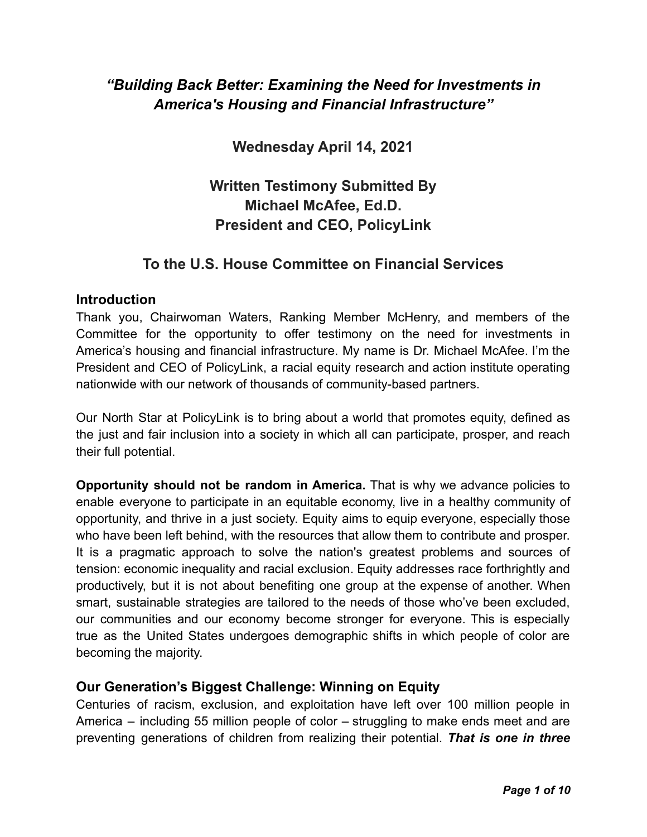# *"Building Back Better: Examining the Need for Investments in America's Housing and Financial Infrastructure"*

**Wednesday April 14, 2021**

**Written Testimony Submitted By Michael McAfee, Ed.D. President and CEO, PolicyLink**

# **To the U.S. House Committee on Financial Services**

#### **Introduction**

Thank you, Chairwoman Waters, Ranking Member McHenry, and members of the Committee for the opportunity to offer testimony on the need for investments in America's housing and financial infrastructure. My name is Dr. Michael McAfee. I'm the President and CEO of PolicyLink, a racial equity research and action institute operating nationwide with our network of thousands of community-based partners.

Our North Star at PolicyLink is to bring about a world that promotes equity, defined as the just and fair inclusion into a society in which all can participate, prosper, and reach their full potential.

**Opportunity should not be random in America.** That is why we advance policies to enable everyone to participate in an equitable economy, live in a healthy community of opportunity, and thrive in a just society. Equity aims to equip everyone, especially those who have been left behind, with the resources that allow them to contribute and prosper. It is a pragmatic approach to solve the nation's greatest problems and sources of tension: economic inequality and racial exclusion. Equity addresses race forthrightly and productively, but it is not about benefiting one group at the expense of another. When smart, sustainable strategies are tailored to the needs of those who've been excluded, our communities and our economy become stronger for everyone. This is especially true as the United States undergoes demographic shifts in which people of color are becoming the majority.

### **Our Generation's Biggest Challenge: Winning on Equity**

Centuries of racism, exclusion, and exploitation have left over 100 million people in America – including 55 million people of color – struggling to make ends meet and are preventing generations of children from realizing their potential. *That is one in three*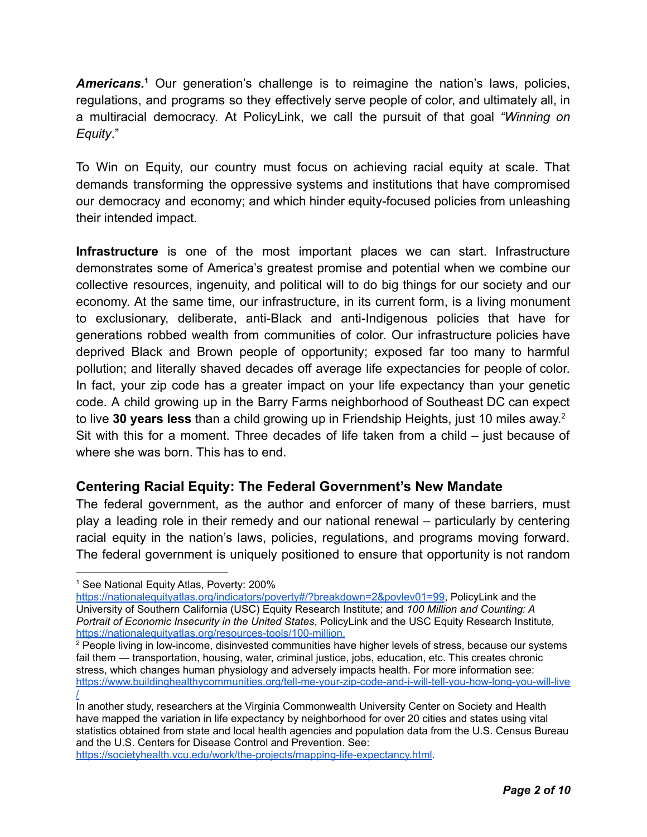*Americans.***<sup>1</sup>** Our generation's challenge is to reimagine the nation's laws, policies, regulations, and programs so they effectively serve people of color, and ultimately all, in a multiracial democracy. At PolicyLink, we call the pursuit of that goal *"Winning on Equity*."

To Win on Equity, our country must focus on achieving racial equity at scale. That demands transforming the oppressive systems and institutions that have compromised our democracy and economy; and which hinder equity-focused policies from unleashing their intended impact.

**Infrastructure** is one of the most important places we can start. Infrastructure demonstrates some of America's greatest promise and potential when we combine our collective resources, ingenuity, and political will to do big things for our society and our economy. At the same time, our infrastructure, in its current form, is a living monument to exclusionary, deliberate, anti-Black and anti-Indigenous policies that have for generations robbed wealth from communities of color. Our infrastructure policies have deprived Black and Brown people of opportunity; exposed far too many to harmful pollution; and literally shaved decades off average life expectancies for people of color. In fact, your zip code has a greater impact on your life expectancy than your genetic code. A child growing up in the Barry Farms neighborhood of Southeast DC can expect to live **30 years less** than a child growing up in Friendship Heights, just 10 miles away. 2 Sit with this for a moment. Three decades of life taken from a child – just because of where she was born. This has to end.

## **Centering Racial Equity: The Federal Government's New Mandate**

The federal government, as the author and enforcer of many of these barriers, must play a leading role in their remedy and our national renewal – particularly by centering racial equity in the nation's laws, policies, regulations, and programs moving forward. The federal government is uniquely positioned to ensure that opportunity is not random

<https://societyhealth.vcu.edu/work/the-projects/mapping-life-expectancy.html>.

<sup>&</sup>lt;sup>1</sup> See National Equity Atlas, Poverty: 200%

[https://nationalequityatlas.org/indicators/poverty#/?breakdown=2&povlev01=99,](https://nationalequityatlas.org/indicators/poverty#/?breakdown=2&povlev01=99) PolicyLink and the University of Southern California (USC) Equity Research Institute; and *100 Million and Counting: A Portrait of Economic Insecurity in the United States*, PolicyLink and the USC Equity Research Institute, <https://nationalequityatlas.org/resources-tools/100-million>.

<sup>&</sup>lt;sup>2</sup> People living in low-income, disinvested communities have higher levels of stress, because our systems fail them — transportation, housing, water, criminal justice, jobs, education, etc. This creates chronic stress, which changes human physiology and adversely impacts health. For more information see: [https://www.buildinghealthycommunities.org/tell-me-your-zip-code-and-i-will-tell-you-how-long-you-will-live](https://www.buildinghealthycommunities.org/tell-me-your-zip-code-and-i-will-tell-you-how-long-you-will-live/) [/](https://www.buildinghealthycommunities.org/tell-me-your-zip-code-and-i-will-tell-you-how-long-you-will-live/)

In another study, researchers at the Virginia Commonwealth University Center on Society and Health have mapped the variation in life expectancy by neighborhood for over 20 cities and states using vital statistics obtained from state and local health agencies and population data from the U.S. Census Bureau and the U.S. Centers for Disease Control and Prevention. See: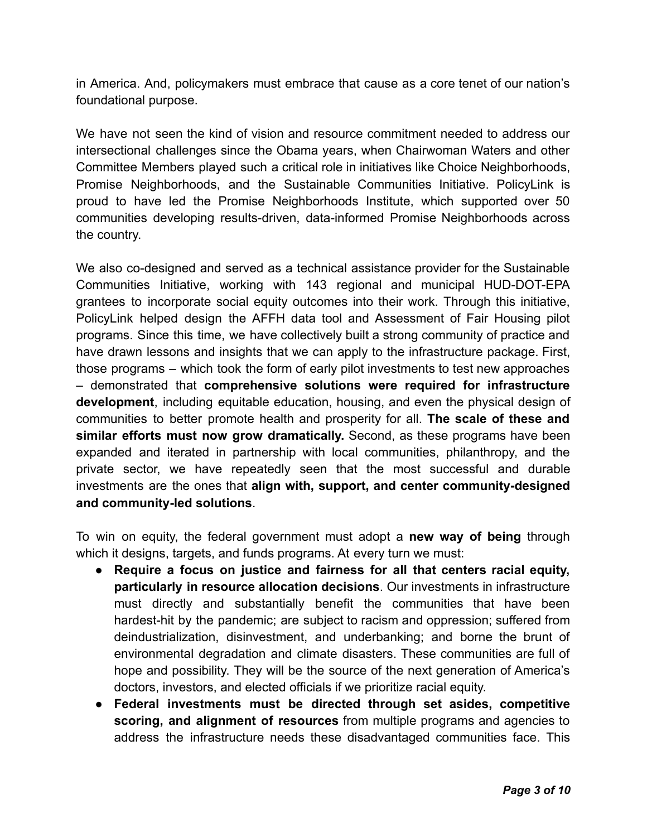in America. And, policymakers must embrace that cause as a core tenet of our nation's foundational purpose.

We have not seen the kind of vision and resource commitment needed to address our intersectional challenges since the Obama years, when Chairwoman Waters and other Committee Members played such a critical role in initiatives like Choice Neighborhoods, Promise Neighborhoods, and the Sustainable Communities Initiative. PolicyLink is proud to have led the Promise Neighborhoods Institute, which supported over 50 communities developing results-driven, data-informed Promise Neighborhoods across the country.

We also co-designed and served as a technical assistance provider for the Sustainable Communities Initiative, working with 143 regional and municipal HUD-DOT-EPA grantees to incorporate social equity outcomes into their work. Through this initiative, PolicyLink helped design the AFFH data tool and Assessment of Fair Housing pilot programs. Since this time, we have collectively built a strong community of practice and have drawn lessons and insights that we can apply to the infrastructure package. First, those programs – which took the form of early pilot investments to test new approaches – demonstrated that **comprehensive solutions were required for infrastructure development**, including equitable education, housing, and even the physical design of communities to better promote health and prosperity for all. **The scale of these and similar efforts must now grow dramatically.** Second, as these programs have been expanded and iterated in partnership with local communities, philanthropy, and the private sector, we have repeatedly seen that the most successful and durable investments are the ones that **align with, support, and center community-designed and community-led solutions**.

To win on equity, the federal government must adopt a **new way of being** through which it designs, targets, and funds programs. At every turn we must:

- **Require a focus on justice and fairness for all that centers racial equity, particularly in resource allocation decisions**. Our investments in infrastructure must directly and substantially benefit the communities that have been hardest-hit by the pandemic; are subject to racism and oppression; suffered from deindustrialization, disinvestment, and underbanking; and borne the brunt of environmental degradation and climate disasters. These communities are full of hope and possibility. They will be the source of the next generation of America's doctors, investors, and elected officials if we prioritize racial equity.
- **Federal investments must be directed through set asides, competitive scoring, and alignment of resources** from multiple programs and agencies to address the infrastructure needs these disadvantaged communities face. This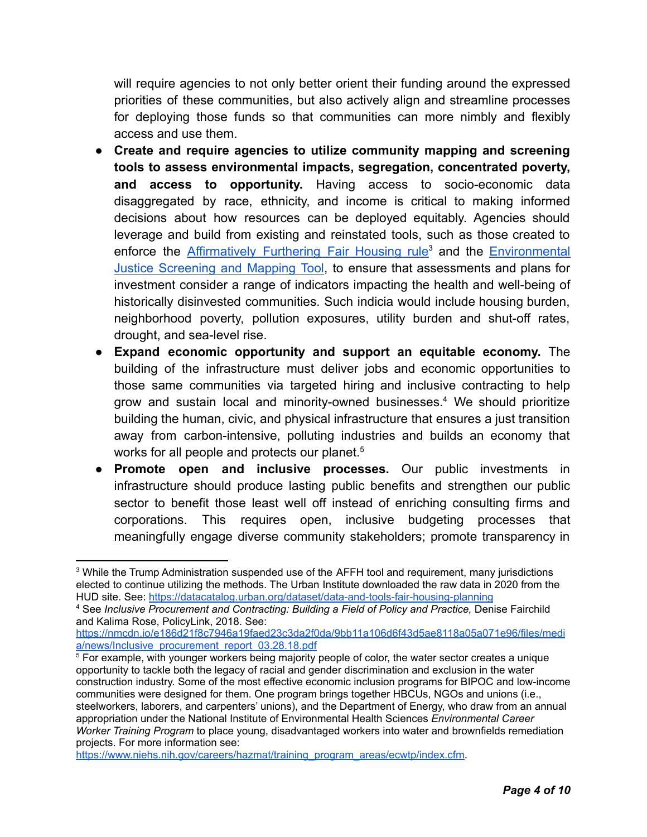will require agencies to not only better orient their funding around the expressed priorities of these communities, but also actively align and streamline processes for deploying those funds so that communities can more nimbly and flexibly access and use them.

- **Create and require agencies to utilize community mapping and screening tools to assess environmental impacts, segregation, concentrated poverty, and access to opportunity.** Having access to socio-economic data disaggregated by race, ethnicity, and income is critical to making informed decisions about how resources can be deployed equitably. Agencies should leverage and build from existing and reinstated tools, such as those created to enforce the [Affirmatively](https://egis.hud.gov/affht/) Furthering Fair Housing rule<sup>3</sup> and the [Environmental](https://www.epa.gov/ejscreen) Justice [Screening](https://www.epa.gov/ejscreen) and Mapping Tool, to ensure that assessments and plans for investment consider a range of indicators impacting the health and well-being of historically disinvested communities. Such indicia would include housing burden, neighborhood poverty, pollution exposures, utility burden and shut-off rates, drought, and sea-level rise.
- **Expand economic opportunity and support an equitable economy.** The building of the infrastructure must deliver jobs and economic opportunities to those same communities via targeted hiring and inclusive contracting to help grow and sustain local and minority-owned businesses.<sup>4</sup> We should prioritize building the human, civic, and physical infrastructure that ensures a just transition away from carbon-intensive, polluting industries and builds an economy that works for all people and protects our planet.<sup>5</sup>
- **Promote open and inclusive processes.** Our public investments in infrastructure should produce lasting public benefits and strengthen our public sector to benefit those least well off instead of enriching consulting firms and corporations. This requires open, inclusive budgeting processes that meaningfully engage diverse community stakeholders; promote transparency in

<sup>&</sup>lt;sup>3</sup> While the Trump Administration suspended use of the AFFH tool and requirement, many jurisdictions elected to continue utilizing the methods. The Urban Institute downloaded the raw data in 2020 from the HUD site. See: <https://datacatalog.urban.org/dataset/data-and-tools-fair-housing-planning>

<sup>4</sup> See *Inclusive Procurement and Contracting: Building a Field of Policy and Practice,* Denise Fairchild and Kalima Rose, PolicyLink, 2018. See:

[https://nmcdn.io/e186d21f8c7946a19faed23c3da2f0da/9bb11a106d6f43d5ae8118a05a071e96/files/medi](https://nmcdn.io/e186d21f8c7946a19faed23c3da2f0da/9bb11a106d6f43d5ae8118a05a071e96/files/media/news/Inclusive_procurement_report_03.28.18.pdf) [a/news/Inclusive\\_procurement\\_report\\_03.28.18.pdf](https://nmcdn.io/e186d21f8c7946a19faed23c3da2f0da/9bb11a106d6f43d5ae8118a05a071e96/files/media/news/Inclusive_procurement_report_03.28.18.pdf)

<sup>&</sup>lt;sup>5</sup> For example, with younger workers being majority people of color, the water sector creates a unique opportunity to tackle both the legacy of racial and gender discrimination and exclusion in the water construction industry. Some of the most effective economic inclusion programs for BIPOC and low-income communities were designed for them. One program brings together HBCUs, NGOs and unions (i.e., steelworkers, laborers, and carpenters' unions), and the Department of Energy, who draw from an annual appropriation under the National Institute of Environmental Health Sciences *[Environmental](https://www.niehs.nih.gov/careers/hazmat/about_wetp/ecwtp/index.cfm) Career Worker Training [Program](https://www.niehs.nih.gov/careers/hazmat/about_wetp/ecwtp/index.cfm)* to place young, disadvantaged workers into water and brownfields remediation projects. For more information see:

[https://www.niehs.nih.gov/careers/hazmat/training\\_program\\_areas/ecwtp/index.cfm.](https://www.niehs.nih.gov/careers/hazmat/training_program_areas/ecwtp/index.cfm)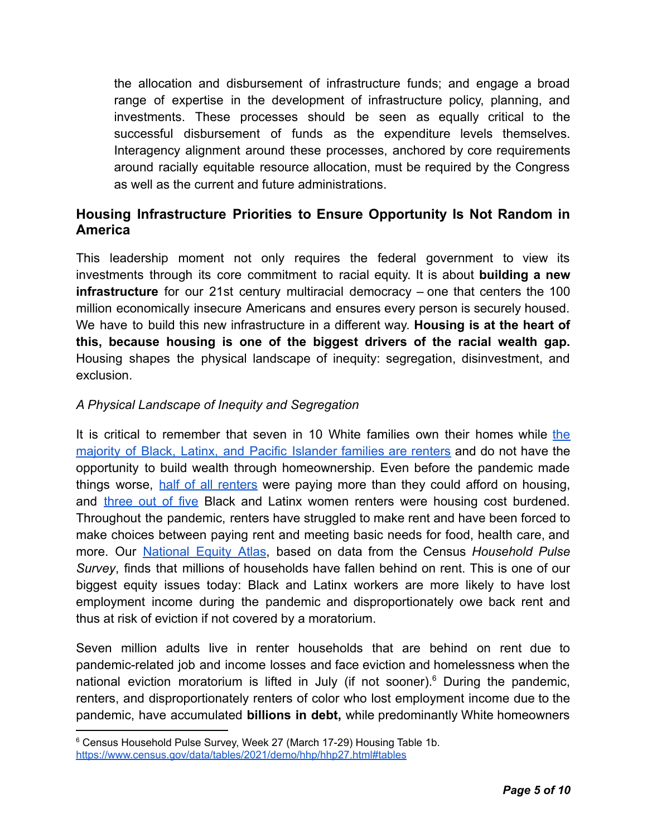the allocation and disbursement of infrastructure funds; and engage a broad range of expertise in the development of infrastructure policy, planning, and investments. These processes should be seen as equally critical to the successful disbursement of funds as the expenditure levels themselves. Interagency alignment around these processes, anchored by core requirements around racially equitable resource allocation, must be required by the Congress as well as the current and future administrations.

## **Housing Infrastructure Priorities to Ensure Opportunity Is Not Random in America**

This leadership moment not only requires the federal government to view its investments through its core commitment to racial equity. It is about **building a new infrastructure** for our 21st century multiracial democracy – one that centers the 100 million economically insecure Americans and ensures every person is securely housed. We have to build this new infrastructure in a different way. **Housing is at the heart of this, because housing is one of the biggest drivers of the racial wealth gap.** Housing shapes the physical landscape of inequity: segregation, disinvestment, and exclusion.

## *A Physical Landscape of Inequity and Segregation*

It is critical to remember that seven in 10 White families own their homes while [the](https://nationalequityatlas.org/indicators/Homeownership#/?breakdown=2) majority of Black, Latinx, and Pacific [Islander](https://nationalequityatlas.org/indicators/Homeownership#/?breakdown=2) families are renters and do not have the opportunity to build wealth through homeownership. Even before the pandemic made things worse, half of all [renters](https://nationalequityatlas.org/indicators/Housing_burden#/?breakdown=2) were paying more than they could afford on housing, and [three](https://nationalequityatlas.org/indicators/Housing_burden#/?breakdown=3) out of five Black and Latinx women renters were housing cost burdened. Throughout the pandemic, renters have struggled to make rent and have been forced to make choices between paying rent and meeting basic needs for food, health care, and more. Our [National](https://nationalequityatlas.org/research/analyses/COVID-19-evictions-california) Equity Atlas, based on data from the Census *Household Pulse Survey*, finds that millions of households have fallen behind on rent. This is one of our biggest equity issues today: Black and Latinx workers are more likely to have lost employment income during the pandemic and disproportionately owe back rent and thus at risk of eviction if not covered by a moratorium.

Seven million adults live in renter households that are behind on rent due to pandemic-related job and income losses and face eviction and homelessness when the national eviction moratorium is lifted in July (if not sooner).<sup>6</sup> During the pandemic, renters, and disproportionately renters of color who lost employment income due to the pandemic, have accumulated **billions in debt,** while predominantly White homeowners

<sup>6</sup> Census Household Pulse Survey, Week 27 (March 17-29) Housing Table 1b. <https://www.census.gov/data/tables/2021/demo/hhp/hhp27.html#tables>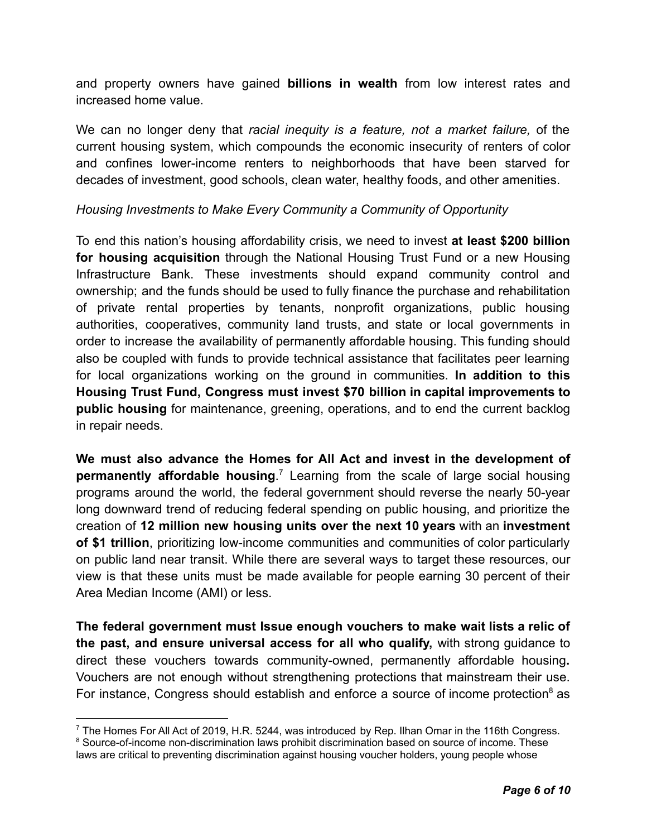and property owners have gained **billions in wealth** from low interest rates and increased home value.

We can no longer deny that *racial inequity is a feature, not a market failure,* of the current housing system, which compounds the economic insecurity of renters of color and confines lower-income renters to neighborhoods that have been starved for decades of investment, good schools, clean water, healthy foods, and other amenities.

### *Housing Investments to Make Every Community a Community of Opportunity*

To end this nation's housing affordability crisis, we need to invest **at least \$200 billion for housing acquisition** through the National Housing Trust Fund or a new Housing Infrastructure Bank. These investments should expand community control and ownership; and the funds should be used to fully finance the purchase and rehabilitation of private rental properties by tenants, nonprofit organizations, public housing authorities, cooperatives, community land trusts, and state or local governments in order to increase the availability of permanently affordable housing. This funding should also be coupled with funds to provide technical assistance that facilitates peer learning for local organizations working on the ground in communities. **In addition to this Housing Trust Fund, Congress must invest \$70 billion in capital improvements to public housing** for maintenance, greening, operations, and to end the current backlog in repair needs.

**We must also advance the Homes for All Act and invest in the development of permanently affordable housing**. <sup>7</sup> Learning from the scale of large social housing programs around the world, the federal government should reverse the nearly 50-year long downward trend of reducing federal spending on public housing, and prioritize the creation of **12 million new housing units over the next 10 years** with an **investment of \$1 trillion**, prioritizing low-income communities and communities of color particularly on public land near transit. While there are several ways to target these resources, our view is that these units must be made available for people earning 30 percent of their Area Median Income (AMI) or less.

**The federal government must Issue enough vouchers to make wait lists a relic of the past, and ensure universal access for all who qualify,** with strong guidance to direct these vouchers towards community-owned, permanently affordable housing**.** Vouchers are not enough without strengthening protections that mainstream their use. For instance, Congress should establish and enforce a source of income protection $\delta$  as

 $7$  The Homes For All Act of 2019, H.R. 5244, was introduced by Rep. Ilhan Omar in the 116th Congress.

<sup>&</sup>lt;sup>8</sup> Source-of-income non-discrimination laws prohibit discrimination based on source of income. These laws are critical to preventing discrimination against housing voucher holders, young people whose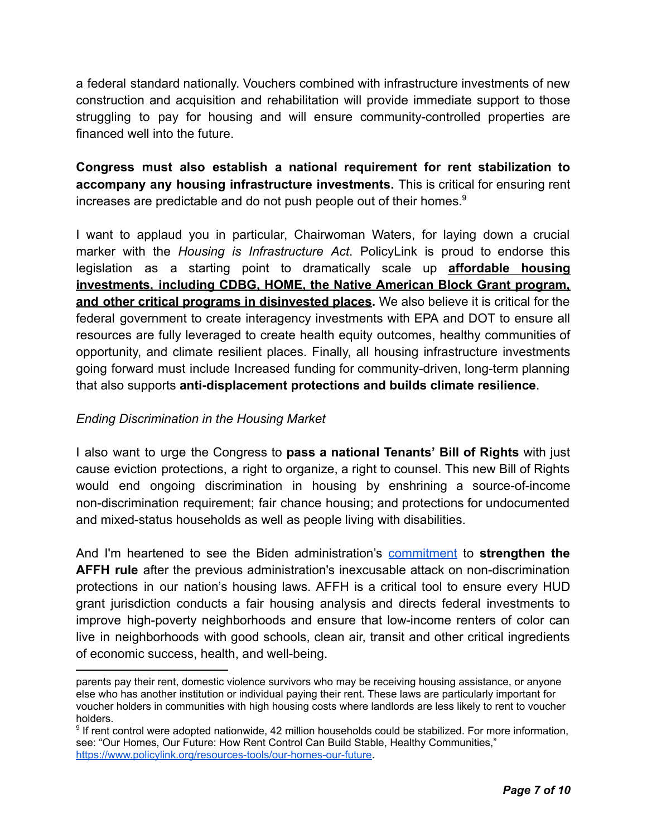a federal standard nationally. Vouchers combined with infrastructure investments of new construction and acquisition and rehabilitation will provide immediate support to those struggling to pay for housing and will ensure community-controlled properties are financed well into the future.

**Congress must also establish a national requirement for rent stabilization to accompany any housing infrastructure investments.** This is critical for ensuring rent increases are predictable and do not push people out of their homes.<sup>9</sup>

I want to applaud you in particular, Chairwoman Waters, for laying down a crucial marker with the *Housing is Infrastructure Act*. PolicyLink is proud to endorse this legislation as a starting point to dramatically scale up **affordable housing investments, including CDBG, HOME, the Native American Block Grant program, and other critical programs in disinvested places.** We also believe it is critical for the federal government to create interagency investments with EPA and DOT to ensure all resources are fully leveraged to create health equity outcomes, healthy communities of opportunity, and climate resilient places. Finally, all housing infrastructure investments going forward must include Increased funding for community-driven, long-term planning that also supports **anti-displacement protections and builds climate resilience**.

### *Ending Discrimination in the Housing Market*

I also want to urge the Congress to **pass a national Tenants' Bill of Rights** with just cause eviction protections, a right to organize, a right to counsel. This new Bill of Rights would end ongoing discrimination in housing by enshrining a source-of-income non-discrimination requirement; fair chance housing; and protections for undocumented and mixed-status households as well as people living with disabilities.

And I'm heartened to see the Biden administration's [commitment](https://www.whitehouse.gov/briefing-room/presidential-actions/2021/01/26/memorandum-on-redressing-our-nations-and-the-federal-governments-history-of-discriminatory-housing-practices-and-policies/) to **strengthen the AFFH rule** after the previous administration's inexcusable attack on non-discrimination protections in our nation's housing laws. AFFH is a critical tool to ensure every HUD grant jurisdiction conducts a fair housing analysis and directs federal investments to improve high-poverty neighborhoods and ensure that low-income renters of color can live in neighborhoods with good schools, clean air, transit and other critical ingredients of economic success, health, and well-being.

parents pay their rent, domestic violence survivors who may be receiving housing assistance, or anyone else who has another institution or individual paying their rent. These laws are particularly important for voucher holders in communities with high housing costs where landlords are less likely to rent to voucher holders.

<sup>&</sup>lt;sup>9</sup> If rent control were adopted nationwide, 42 million households could be stabilized. For more information, see: "Our Homes, Our Future: How Rent Control Can Build Stable, Healthy Communities," [https://www.policylink.org/resources-tools/our-homes-our-future.](https://www.policylink.org/resources-tools/our-homes-our-future)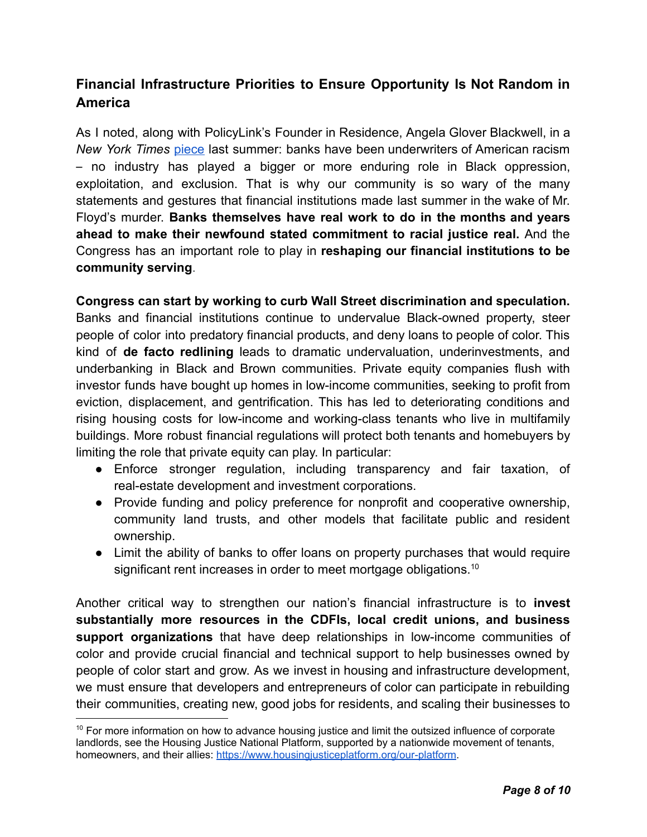# **Financial Infrastructure Priorities to Ensure Opportunity Is Not Random in America**

As I noted, along with PolicyLink's Founder in Residence, Angela Glover Blackwell, in a *New York Times* [piece](https://www.nytimes.com/2020/06/26/opinion/sunday/banks-reparations-racism-inequality.html) last summer: banks have been underwriters of American racism – no industry has played a bigger or more enduring role in Black oppression, exploitation, and exclusion. That is why our community is so wary of the many statements and gestures that financial institutions made last summer in the wake of Mr. Floyd's murder. **Banks themselves have real work to do in the months and years ahead to make their newfound stated commitment to racial justice real.** And the Congress has an important role to play in **reshaping our financial institutions to be community serving**.

**Congress can start by working to curb Wall Street discrimination and speculation.** Banks and financial institutions continue to undervalue Black-owned property, steer people of color into predatory financial products, and deny loans to people of color. This kind of **de facto redlining** leads to dramatic undervaluation, underinvestments, and underbanking in Black and Brown communities. Private equity companies flush with investor funds have bought up homes in low-income communities, seeking to profit from eviction, displacement, and gentrification. This has led to deteriorating conditions and rising housing costs for low-income and working-class tenants who live in multifamily buildings. More robust financial regulations will protect both tenants and homebuyers by limiting the role that private equity can play. In particular:

- Enforce stronger regulation, including transparency and fair taxation, of real-estate development and investment corporations.
- Provide funding and policy preference for nonprofit and cooperative ownership, community land trusts, and other models that facilitate public and resident ownership.
- Limit the ability of banks to offer loans on property purchases that would require significant rent increases in order to meet mortgage obligations.<sup>10</sup>

Another critical way to strengthen our nation's financial infrastructure is to **invest substantially more resources in the CDFIs, local credit unions, and business support organizations** that have deep relationships in low-income communities of color and provide crucial financial and technical support to help businesses owned by people of color start and grow. As we invest in housing and infrastructure development, we must ensure that developers and entrepreneurs of color can participate in rebuilding their communities, creating new, good jobs for residents, and scaling their businesses to

 $10$  For more information on how to advance housing justice and limit the outsized influence of corporate landlords, see the Housing Justice National Platform, supported by a nationwide movement of tenants, homeowners, and their allies: <https://www.housingjusticeplatform.org/our-platform>.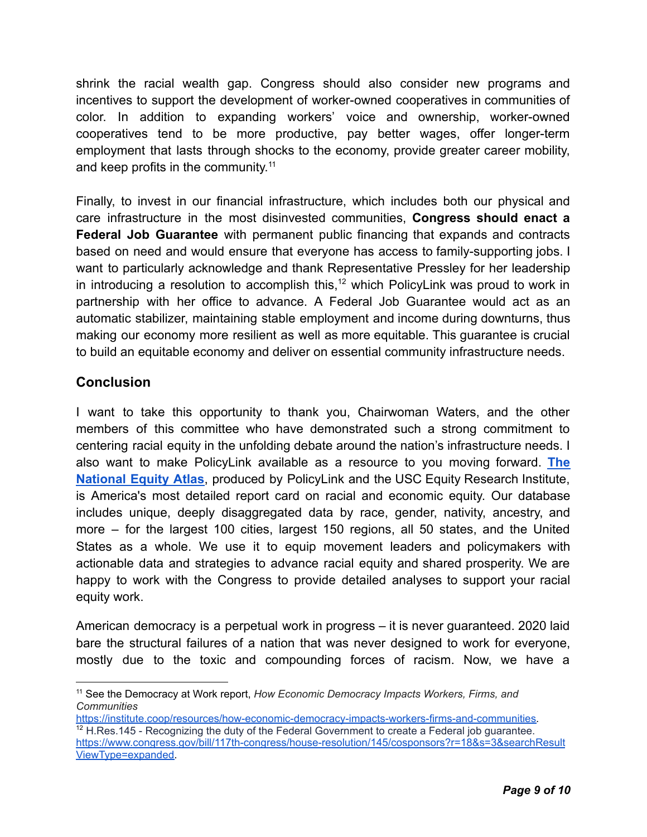shrink the racial wealth gap. Congress should also consider new programs and incentives to support the development of worker-owned cooperatives in communities of color. In addition to expanding workers' voice and ownership, worker-owned cooperatives tend to be more productive, pay better wages, offer longer-term employment that lasts through shocks to the economy, provide greater career mobility, and keep profits in the community.<sup>11</sup>

Finally, to invest in our financial infrastructure, which includes both our physical and care infrastructure in the most disinvested communities, **Congress should enact a Federal Job Guarantee** with permanent public financing that expands and contracts based on need and would ensure that everyone has access to family-supporting jobs. I want to particularly acknowledge and thank Representative Pressley for her leadership in introducing a resolution to accomplish this,<sup>12</sup> which PolicyLink was proud to work in partnership with her office to advance. A Federal Job Guarantee would act as an automatic stabilizer, maintaining stable employment and income during downturns, thus making our economy more resilient as well as more equitable. This guarantee is crucial to build an equitable economy and deliver on essential community infrastructure needs.

## **Conclusion**

I want to take this opportunity to thank you, Chairwoman Waters, and the other members of this committee who have demonstrated such a strong commitment to centering racial equity in the unfolding debate around the nation's infrastructure needs. I also want to make PolicyLink available as a resource to you moving forward. **[The](https://nationalequityatlas.org) [National](https://nationalequityatlas.org) Equity Atlas**, produced by PolicyLink and the USC Equity Research Institute, is America's most detailed report card on racial and economic equity. Our database includes unique, deeply disaggregated data by race, gender, nativity, ancestry, and more – for the largest 100 cities, largest 150 regions, all 50 states, and the United States as a whole. We use it to equip movement leaders and policymakers with actionable data and strategies to advance racial equity and shared prosperity. We are happy to work with the Congress to provide detailed analyses to support your racial equity work.

American democracy is a perpetual work in progress – it is never guaranteed. 2020 laid bare the structural failures of a nation that was never designed to work for everyone, mostly due to the toxic and compounding forces of racism. Now, we have a

<sup>11</sup> See the Democracy at Work report, *How Economic Democracy Impacts Workers, Firms, and Communities*

 $12$  H.Res.145 - Recognizing the duty of the Federal Government to create a Federal job guarantee. [https://www.congress.gov/bill/117th-congress/house-resolution/145/cosponsors?r=18&s=3&searchResult](https://www.congress.gov/bill/117th-congress/house-resolution/145/cosponsors?r=18&s=3&searchResultViewType=expanded) [ViewType=expanded.](https://www.congress.gov/bill/117th-congress/house-resolution/145/cosponsors?r=18&s=3&searchResultViewType=expanded) [https://institute.coop/resources/how-economic-democracy-impacts-workers-firms-and-communities.](https://institute.coop/resources/how-economic-democracy-impacts-workers-firms-and-communities)